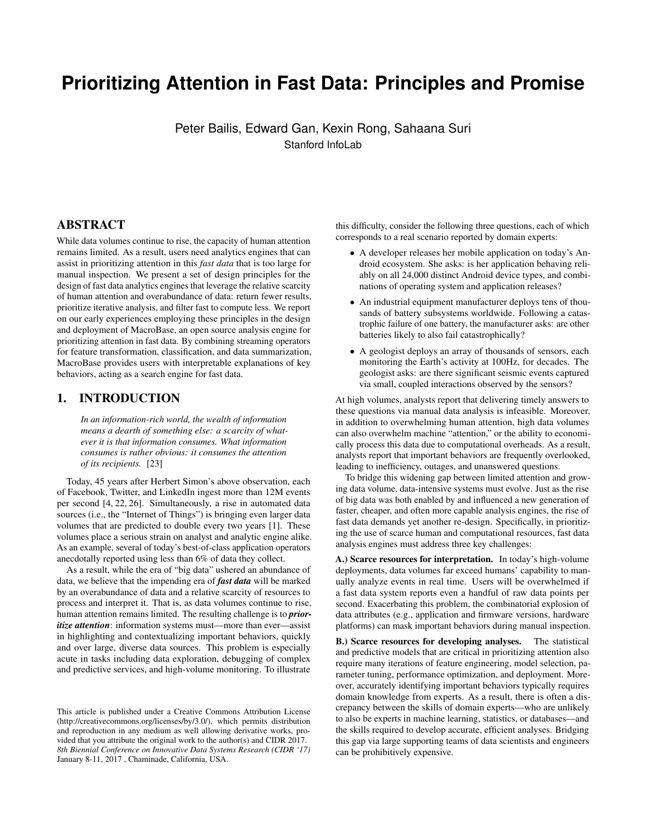# **Prioritizing Attention in Fast Data: Principles and Promise**

Peter Bailis, Edward Gan, Kexin Rong, Sahaana Suri Stanford InfoLab

# ABSTRACT

While data volumes continue to rise, the capacity of human attention remains limited. As a result, users need analytics engines that can assist in prioritizing attention in this *fast data* that is too large for manual inspection. We present a set of design principles for the design of fast data analytics engines that leverage the relative scarcity of human attention and overabundance of data: return fewer results, prioritize iterative analysis, and filter fast to compute less. We report on our early experiences employing these principles in the design and deployment of MacroBase, an open source analysis engine for prioritizing attention in fast data. By combining streaming operators for feature transformation, classification, and data summarization, MacroBase provides users with interpretable explanations of key behaviors, acting as a search engine for fast data.

# 1. INTRODUCTION

*In an information-rich world, the wealth of information means a dearth of something else: a scarcity of whatever it is that information consumes. What information consumes is rather obvious: it consumes the attention of its recipients.* [\[23\]](#page-7-0)

Today, 45 years after Herbert Simon's above observation, each of Facebook, Twitter, and LinkedIn ingest more than 12M events per second [\[4,](#page-7-1) [22,](#page-7-2) [26\]](#page-7-3). Simultaneously, a rise in automated data sources (i.e., the "Internet of Things") is bringing even larger data volumes that are predicted to double every two years [\[1\]](#page-7-4). These volumes place a serious strain on analyst and analytic engine alike. As an example, several of today's best-of-class application operators anecdotally reported using less than 6% of data they collect.

As a result, while the era of "big data" ushered an abundance of data, we believe that the impending era of *fast data* will be marked by an overabundance of data and a relative scarcity of resources to process and interpret it. That is, as data volumes continue to rise, human attention remains limited. The resulting challenge is to *prioritize attention*: information systems must—more than ever—assist in highlighting and contextualizing important behaviors, quickly and over large, diverse data sources. This problem is especially acute in tasks including data exploration, debugging of complex and predictive services, and high-volume monitoring. To illustrate this difficulty, consider the following three questions, each of which corresponds to a real scenario reported by domain experts:

- A developer releases her mobile application on today's Android ecosystem. She asks: is her application behaving reliably on all 24,000 distinct Android device types, and combinations of operating system and application releases?
- An industrial equipment manufacturer deploys tens of thousands of battery subsystems worldwide. Following a catastrophic failure of one battery, the manufacturer asks: are other batteries likely to also fail catastrophically?
- A geologist deploys an array of thousands of sensors, each monitoring the Earth's activity at 100Hz, for decades. The geologist asks: are there significant seismic events captured via small, coupled interactions observed by the sensors?

At high volumes, analysts report that delivering timely answers to these questions via manual data analysis is infeasible. Moreover, in addition to overwhelming human attention, high data volumes can also overwhelm machine "attention," or the ability to economically process this data due to computational overheads. As a result, analysts report that important behaviors are frequently overlooked, leading to inefficiency, outages, and unanswered questions.

To bridge this widening gap between limited attention and growing data volume, data-intensive systems must evolve. Just as the rise of big data was both enabled by and influenced a new generation of faster, cheaper, and often more capable analysis engines, the rise of fast data demands yet another re-design. Specifically, in prioritizing the use of scarce human and computational resources, fast data analysis engines must address three key challenges:

A.) Scarce resources for interpretation. In today's high-volume deployments, data volumes far exceed humans' capability to manually analyze events in real time. Users will be overwhelmed if a fast data system reports even a handful of raw data points per second. Exacerbating this problem, the combinatorial explosion of data attributes (e.g., application and firmware versions, hardware platforms) can mask important behaviors during manual inspection.

B.) Scarce resources for developing analyses. The statistical and predictive models that are critical in prioritizing attention also require many iterations of feature engineering, model selection, parameter tuning, performance optimization, and deployment. Moreover, accurately identifying important behaviors typically requires domain knowledge from experts. As a result, there is often a discrepancy between the skills of domain experts—who are unlikely to also be experts in machine learning, statistics, or databases—and the skills required to develop accurate, efficient analyses. Bridging this gap via large supporting teams of data scientists and engineers can be prohibitively expensive.

This article is published under a Creative Commons Attribution License (http://creativecommons.org/licenses/by/3.0/), which permits distribution and reproduction in any medium as well allowing derivative works, provided that you attribute the original work to the author(s) and CIDR 2017. *8th Biennial Conference on Innovative Data Systems Research (CIDR '17)* January 8-11, 2017 , Chaminade, California, USA.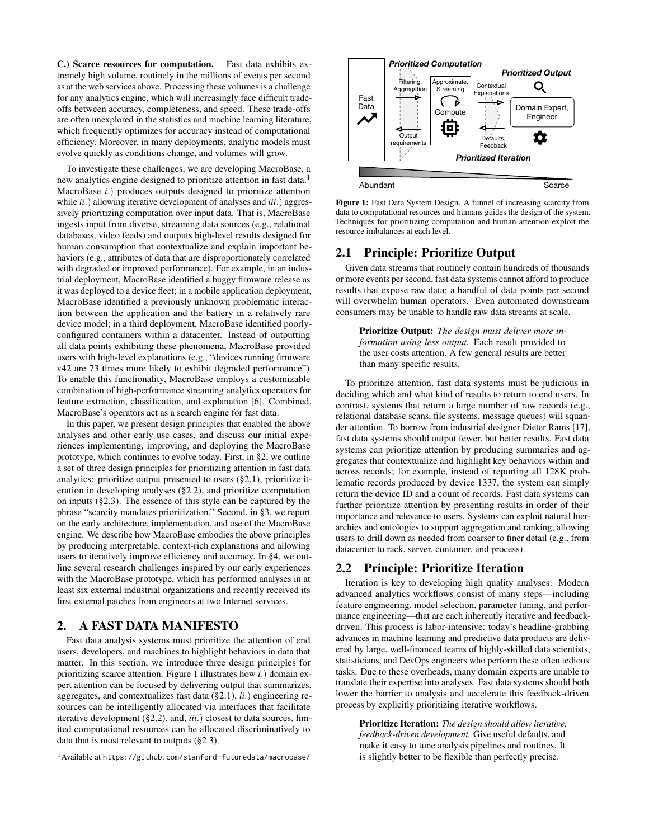C.) Scarce resources for computation. Fast data exhibits extremely high volume, routinely in the millions of events per second as at the web services above. Processing these volumes is a challenge for any analytics engine, which will increasingly face difficult tradeoffs between accuracy, completeness, and speed. These trade-offs are often unexplored in the statistics and machine learning literature, which frequently optimizes for accuracy instead of computational efficiency. Moreover, in many deployments, analytic models must evolve quickly as conditions change, and volumes will grow.

To investigate these challenges, we are developing MacroBase, a new analytics engine designed to prioritize attention in fast data.<sup>[1](#page-1-0)</sup> MacroBase *i*.) produces outputs designed to prioritize attention while *ii*.) allowing iterative development of analyses and *iii*.) aggressively prioritizing computation over input data. That is, MacroBase ingests input from diverse, streaming data sources (e.g., relational databases, video feeds) and outputs high-level results designed for human consumption that contextualize and explain important behaviors (e.g., attributes of data that are disproportionately correlated with degraded or improved performance). For example, in an industrial deployment, MacroBase identified a buggy firmware release as it was deployed to a device fleet; in a mobile application deployment, MacroBase identified a previously unknown problematic interaction between the application and the battery in a relatively rare device model; in a third deployment, MacroBase identified poorlyconfigured containers within a datacenter. Instead of outputting all data points exhibiting these phenomena, MacroBase provided users with high-level explanations (e.g., "devices running firmware v42 are 73 times more likely to exhibit degraded performance"). To enable this functionality, MacroBase employs a customizable combination of high-performance streaming analytics operators for feature extraction, classification, and explanation [\[6\]](#page-7-5). Combined, MacroBase's operators act as a search engine for fast data.

In this paper, we present design principles that enabled the above analyses and other early use cases, and discuss our initial experiences implementing, improving, and deploying the MacroBase prototype, which continues to evolve today. First, in [§2,](#page-1-1) we outline a set of three design principles for prioritizing attention in fast data analytics: prioritize output presented to users ([§2.1\)](#page-1-2), prioritize iteration in developing analyses ([§2.2\)](#page-1-3), and prioritize computation on inputs ([§2.3\)](#page-2-0). The essence of this style can be captured by the phrase "scarcity mandates prioritization." Second, in [§3,](#page-2-1) we report on the early architecture, implementation, and use of the MacroBase engine. We describe how MacroBase embodies the above principles by producing interpretable, context-rich explanations and allowing users to iteratively improve efficiency and accuracy. In [§4,](#page-5-0) we outline several research challenges inspired by our early experiences with the MacroBase prototype, which has performed analyses in at least six external industrial organizations and recently received its first external patches from engineers at two Internet services.

## <span id="page-1-1"></span>2. A FAST DATA MANIFESTO

Fast data analysis systems must prioritize the attention of end users, developers, and machines to highlight behaviors in data that matter. In this section, we introduce three design principles for prioritizing scarce attention. Figure [1](#page-1-4) illustrates how *i*.) domain expert attention can be focused by delivering output that summarizes, aggregates, and contextualizes fast data ([§2.1\)](#page-1-2), *ii*.) engineering resources can be intelligently allocated via interfaces that facilitate iterative development ([§2.2\)](#page-1-3), and, *iii*.) closest to data sources, limited computational resources can be allocated discriminatively to data that is most relevant to outputs ([§2.3\)](#page-2-0).

<span id="page-1-4"></span>

Figure 1: Fast Data System Design. A funnel of increasing scarcity from data to computational resources and humans guides the design of the system. Techniques for prioritizing computation and human attention exploit the resource imbalances at each level.

## <span id="page-1-2"></span>2.1 Principle: Prioritize Output

Given data streams that routinely contain hundreds of thousands or more events per second, fast data systems cannot afford to produce results that expose raw data; a handful of data points per second will overwhelm human operators. Even automated downstream consumers may be unable to handle raw data streams at scale.

Prioritize Output: *The design must deliver more information using less output.* Each result provided to the user costs attention. A few general results are better than many specific results.

To prioritize attention, fast data systems must be judicious in deciding which and what kind of results to return to end users. In contrast, systems that return a large number of raw records (e.g., relational database scans, file systems, message queues) will squander attention. To borrow from industrial designer Dieter Rams [\[17\]](#page-7-6), fast data systems should output fewer, but better results. Fast data systems can prioritize attention by producing summaries and aggregates that contextualize and highlight key behaviors within and across records; for example, instead of reporting all 128K problematic records produced by device 1337, the system can simply return the device ID and a count of records. Fast data systems can further prioritize attention by presenting results in order of their importance and relevance to users. Systems can exploit natural hierarchies and ontologies to support aggregation and ranking, allowing users to drill down as needed from coarser to finer detail (e.g., from datacenter to rack, server, container, and process).

## <span id="page-1-3"></span>2.2 Principle: Prioritize Iteration

Iteration is key to developing high quality analyses. Modern advanced analytics workflows consist of many steps—including feature engineering, model selection, parameter tuning, and performance engineering—that are each inherently iterative and feedbackdriven. This process is labor-intensive: today's headline-grabbing advances in machine learning and predictive data products are delivered by large, well-financed teams of highly-skilled data scientists, statisticians, and DevOps engineers who perform these often tedious tasks. Due to these overheads, many domain experts are unable to translate their expertise into analyses. Fast data systems should both lower the barrier to analysis and accelerate this feedback-driven process by explicitly prioritizing iterative workflows.

Prioritize Iteration: *The design should allow iterative, feedback-driven development.* Give useful defaults, and make it easy to tune analysis pipelines and routines. It is slightly better to be flexible than perfectly precise.

<span id="page-1-0"></span><sup>1</sup>Available at <https://github.com/stanford-futuredata/macrobase/>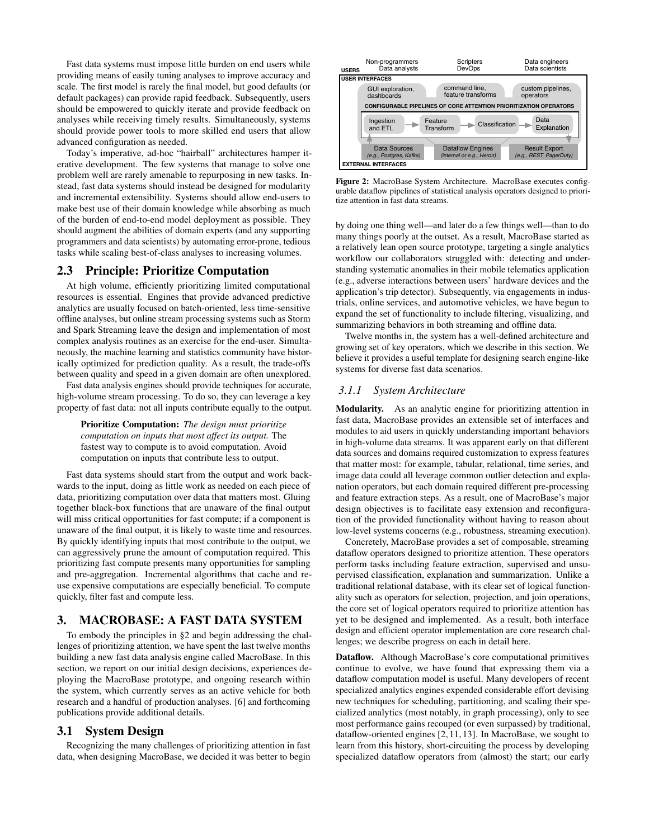Fast data systems must impose little burden on end users while providing means of easily tuning analyses to improve accuracy and scale. The first model is rarely the final model, but good defaults (or default packages) can provide rapid feedback. Subsequently, users should be empowered to quickly iterate and provide feedback on analyses while receiving timely results. Simultaneously, systems should provide power tools to more skilled end users that allow advanced configuration as needed.

Today's imperative, ad-hoc "hairball" architectures hamper iterative development. The few systems that manage to solve one problem well are rarely amenable to repurposing in new tasks. Instead, fast data systems should instead be designed for modularity and incremental extensibility. Systems should allow end-users to make best use of their domain knowledge while absorbing as much of the burden of end-to-end model deployment as possible. They should augment the abilities of domain experts (and any supporting programmers and data scientists) by automating error-prone, tedious tasks while scaling best-of-class analyses to increasing volumes.

#### <span id="page-2-0"></span>2.3 Principle: Prioritize Computation

At high volume, efficiently prioritizing limited computational resources is essential. Engines that provide advanced predictive analytics are usually focused on batch-oriented, less time-sensitive offline analyses, but online stream processing systems such as Storm and Spark Streaming leave the design and implementation of most complex analysis routines as an exercise for the end-user. Simultaneously, the machine learning and statistics community have historically optimized for prediction quality. As a result, the trade-offs between quality and speed in a given domain are often unexplored.

Fast data analysis engines should provide techniques for accurate, high-volume stream processing. To do so, they can leverage a key property of fast data: not all inputs contribute equally to the output.

Prioritize Computation: *The design must prioritize computation on inputs that most affect its output.* The fastest way to compute is to avoid computation. Avoid computation on inputs that contribute less to output.

Fast data systems should start from the output and work backwards to the input, doing as little work as needed on each piece of data, prioritizing computation over data that matters most. Gluing together black-box functions that are unaware of the final output will miss critical opportunities for fast compute; if a component is unaware of the final output, it is likely to waste time and resources. By quickly identifying inputs that most contribute to the output, we can aggressively prune the amount of computation required. This prioritizing fast compute presents many opportunities for sampling and pre-aggregation. Incremental algorithms that cache and reuse expensive computations are especially beneficial. To compute quickly, filter fast and compute less.

## <span id="page-2-1"></span>3. MACROBASE: A FAST DATA SYSTEM

To embody the principles in [§2](#page-1-1) and begin addressing the challenges of prioritizing attention, we have spent the last twelve months building a new fast data analysis engine called MacroBase. In this section, we report on our initial design decisions, experiences deploying the MacroBase prototype, and ongoing research within the system, which currently serves as an active vehicle for both research and a handful of production analyses. [\[6\]](#page-7-5) and forthcoming publications provide additional details.

#### 3.1 System Design

Recognizing the many challenges of prioritizing attention in fast data, when designing MacroBase, we decided it was better to begin

<span id="page-2-2"></span>

Figure 2: MacroBase System Architecture. MacroBase executes configurable dataflow pipelines of statistical analysis operators designed to prioritize attention in fast data streams.

by doing one thing well—and later do a few things well—than to do many things poorly at the outset. As a result, MacroBase started as a relatively lean open source prototype, targeting a single analytics workflow our collaborators struggled with: detecting and understanding systematic anomalies in their mobile telematics application (e.g., adverse interactions between users' hardware devices and the application's trip detector). Subsequently, via engagements in industrials, online services, and automotive vehicles, we have begun to expand the set of functionality to include filtering, visualizing, and summarizing behaviors in both streaming and offline data.

Twelve months in, the system has a well-defined architecture and growing set of key operators, which we describe in this section. We believe it provides a useful template for designing search engine-like systems for diverse fast data scenarios.

## *3.1.1 System Architecture*

Modularity. As an analytic engine for prioritizing attention in fast data, MacroBase provides an extensible set of interfaces and modules to aid users in quickly understanding important behaviors in high-volume data streams. It was apparent early on that different data sources and domains required customization to express features that matter most: for example, tabular, relational, time series, and image data could all leverage common outlier detection and explanation operators, but each domain required different pre-processing and feature extraction steps. As a result, one of MacroBase's major design objectives is to facilitate easy extension and reconfiguration of the provided functionality without having to reason about low-level systems concerns (e.g., robustness, streaming execution).

Concretely, MacroBase provides a set of composable, streaming dataflow operators designed to prioritize attention. These operators perform tasks including feature extraction, supervised and unsupervised classification, explanation and summarization. Unlike a traditional relational database, with its clear set of logical functionality such as operators for selection, projection, and join operations, the core set of logical operators required to prioritize attention has yet to be designed and implemented. As a result, both interface design and efficient operator implementation are core research challenges; we describe progress on each in detail here.

Dataflow. Although MacroBase's core computational primitives continue to evolve, we have found that expressing them via a dataflow computation model is useful. Many developers of recent specialized analytics engines expended considerable effort devising new techniques for scheduling, partitioning, and scaling their specialized analytics (most notably, in graph processing), only to see most performance gains recouped (or even surpassed) by traditional, dataflow-oriented engines [\[2,](#page-7-7) [11,](#page-7-8) [13\]](#page-7-9). In MacroBase, we sought to learn from this history, short-circuiting the process by developing specialized dataflow operators from (almost) the start; our early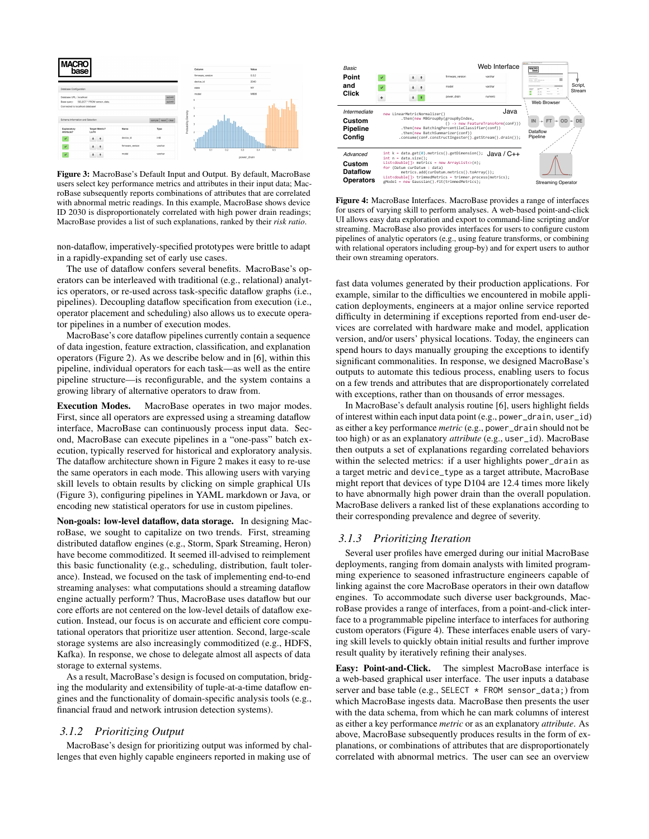<span id="page-3-0"></span>

Figure 3: MacroBase's Default Input and Output. By default, MacroBase users select key performance metrics and attributes in their input data; MacroBase subsequently reports combinations of attributes that are correlated with abnormal metric readings. In this example, MacroBase shows device ID 2030 is disproportionately correlated with high power drain readings; MacroBase provides a list of such explanations, ranked by their *risk ratio*.

non-dataflow, imperatively-specified prototypes were brittle to adapt in a rapidly-expanding set of early use cases.

The use of dataflow confers several benefits. MacroBase's operators can be interleaved with traditional (e.g., relational) analytics operators, or re-used across task-specific dataflow graphs (i.e., pipelines). Decoupling dataflow specification from execution (i.e., operator placement and scheduling) also allows us to execute operator pipelines in a number of execution modes.

MacroBase's core dataflow pipelines currently contain a sequence of data ingestion, feature extraction, classification, and explanation operators (Figure [2\)](#page-2-2). As we describe below and in [\[6\]](#page-7-5), within this pipeline, individual operators for each task—as well as the entire pipeline structure—is reconfigurable, and the system contains a growing library of alternative operators to draw from.

Execution Modes. MacroBase operates in two major modes. First, since all operators are expressed using a streaming dataflow interface, MacroBase can continuously process input data. Second, MacroBase can execute pipelines in a "one-pass" batch execution, typically reserved for historical and exploratory analysis. The dataflow architecture shown in Figure [2](#page-2-2) makes it easy to re-use the same operators in each mode. This allowing users with varying skill levels to obtain results by clicking on simple graphical UIs (Figure [3\)](#page-3-0), configuring pipelines in YAML markdown or Java, or encoding new statistical operators for use in custom pipelines.

Non-goals: low-level dataflow, data storage. In designing MacroBase, we sought to capitalize on two trends. First, streaming distributed dataflow engines (e.g., Storm, Spark Streaming, Heron) have become commoditized. It seemed ill-advised to reimplement this basic functionality (e.g., scheduling, distribution, fault tolerance). Instead, we focused on the task of implementing end-to-end streaming analyses: what computations should a streaming dataflow engine actually perform? Thus, MacroBase uses dataflow but our core efforts are not centered on the low-level details of dataflow execution. Instead, our focus is on accurate and efficient core computational operators that prioritize user attention. Second, large-scale storage systems are also increasingly commoditized (e.g., HDFS, Kafka). In response, we chose to delegate almost all aspects of data storage to external systems.

As a result, MacroBase's design is focused on computation, bridging the modularity and extensibility of tuple-at-a-time dataflow engines and the functionality of domain-specific analysis tools (e.g., financial fraud and network intrusion detection systems).

#### *3.1.2 Prioritizing Output*

MacroBase's design for prioritizing output was informed by challenges that even highly capable engineers reported in making use of

<span id="page-3-1"></span>

Figure 4: MacroBase Interfaces. MacroBase provides a range of interfaces for users of varying skill to perform analyses. A web-based point-and-click UI allows easy data exploration and export to command-line scripting and/or streaming. MacroBase also provides interfaces for users to configure custom pipelines of analytic operators (e.g., using feature transforms, or combining with relational operators including group-by) and for expert users to author their own streaming operators.

fast data volumes generated by their production applications. For example, similar to the difficulties we encountered in mobile application deployments, engineers at a major online service reported difficulty in determining if exceptions reported from end-user devices are correlated with hardware make and model, application version, and/or users' physical locations. Today, the engineers can spend hours to days manually grouping the exceptions to identify significant commonalities. In response, we designed MacroBase's outputs to automate this tedious process, enabling users to focus on a few trends and attributes that are disproportionately correlated with exceptions, rather than on thousands of error messages.

In MacroBase's default analysis routine [\[6\]](#page-7-5), users highlight fields of interest within each input data point (e.g., power\_drain, user\_id) as either a key performance *metric* (e.g., power\_drain should not be too high) or as an explanatory *attribute* (e.g., user\_id). MacroBase then outputs a set of explanations regarding correlated behaviors within the selected metrics: if a user highlights power\_drain as a target metric and device\_type as a target attribute, MacroBase might report that devices of type D104 are 12.4 times more likely to have abnormally high power drain than the overall population. MacroBase delivers a ranked list of these explanations according to their corresponding prevalence and degree of severity.

#### *3.1.3 Prioritizing Iteration*

Several user profiles have emerged during our initial MacroBase deployments, ranging from domain analysts with limited programming experience to seasoned infrastructure engineers capable of linking against the core MacroBase operators in their own dataflow engines. To accommodate such diverse user backgrounds, MacroBase provides a range of interfaces, from a point-and-click interface to a programmable pipeline interface to interfaces for authoring custom operators (Figure [4\)](#page-3-1). These interfaces enable users of varying skill levels to quickly obtain initial results and further improve result quality by iteratively refining their analyses.

Easy: Point-and-Click. The simplest MacroBase interface is a web-based graphical user interface. The user inputs a database server and base table (e.g., SELECT \* FROM sensor\_data;) from which MacroBase ingests data. MacroBase then presents the user with the data schema, from which he can mark columns of interest as either a key performance *metric* or as an explanatory *attribute*. As above, MacroBase subsequently produces results in the form of explanations, or combinations of attributes that are disproportionately correlated with abnormal metrics. The user can see an overview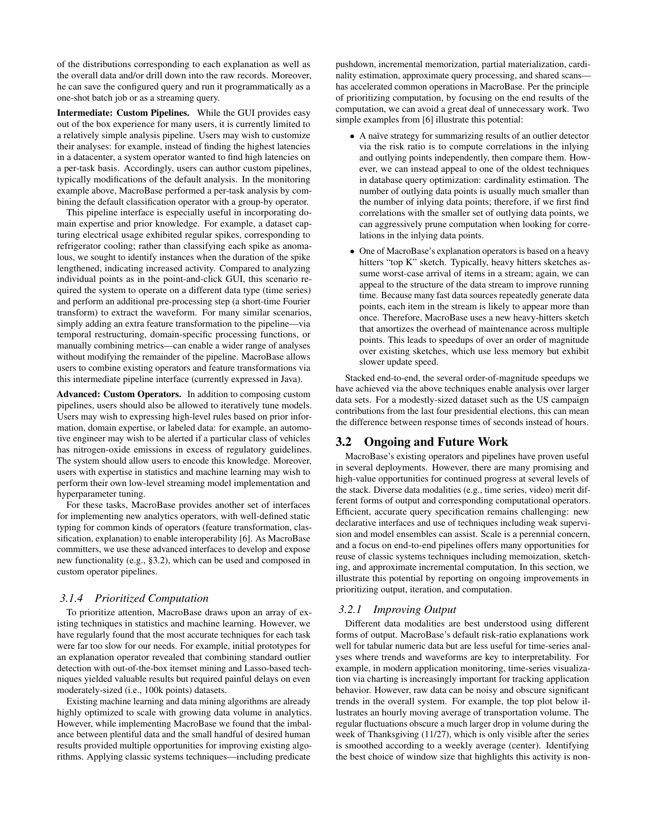of the distributions corresponding to each explanation as well as the overall data and/or drill down into the raw records. Moreover, he can save the configured query and run it programmatically as a one-shot batch job or as a streaming query.

Intermediate: Custom Pipelines. While the GUI provides easy out of the box experience for many users, it is currently limited to a relatively simple analysis pipeline. Users may wish to customize their analyses: for example, instead of finding the highest latencies in a datacenter, a system operator wanted to find high latencies on a per-task basis. Accordingly, users can author custom pipelines, typically modifications of the default analysis. In the monitoring example above, MacroBase performed a per-task analysis by combining the default classification operator with a group-by operator.

This pipeline interface is especially useful in incorporating domain expertise and prior knowledge. For example, a dataset capturing electrical usage exhibited regular spikes, corresponding to refrigerator cooling; rather than classifying each spike as anomalous, we sought to identify instances when the duration of the spike lengthened, indicating increased activity. Compared to analyzing individual points as in the point-and-click GUI, this scenario required the system to operate on a different data type (time series) and perform an additional pre-processing step (a short-time Fourier transform) to extract the waveform. For many similar scenarios, simply adding an extra feature transformation to the pipeline—via temporal restructuring, domain-specific processing functions, or manually combining metrics—can enable a wider range of analyses without modifying the remainder of the pipeline. MacroBase allows users to combine existing operators and feature transformations via this intermediate pipeline interface (currently expressed in Java).

Advanced: Custom Operators. In addition to composing custom pipelines, users should also be allowed to iteratively tune models. Users may wish to expressing high-level rules based on prior information, domain expertise, or labeled data: for example, an automotive engineer may wish to be alerted if a particular class of vehicles has nitrogen-oxide emissions in excess of regulatory guidelines. The system should allow users to encode this knowledge. Moreover, users with expertise in statistics and machine learning may wish to perform their own low-level streaming model implementation and hyperparameter tuning.

For these tasks, MacroBase provides another set of interfaces for implementing new analytics operators, with well-defined static typing for common kinds of operators (feature transformation, classification, explanation) to enable interoperability [\[6\]](#page-7-5). As MacroBase committers, we use these advanced interfaces to develop and expose new functionality (e.g., [§3.2\)](#page-4-0), which can be used and composed in custom operator pipelines.

#### *3.1.4 Prioritized Computation*

To prioritize attention, MacroBase draws upon an array of existing techniques in statistics and machine learning. However, we have regularly found that the most accurate techniques for each task were far too slow for our needs. For example, initial prototypes for an explanation operator revealed that combining standard outlier detection with out-of-the-box itemset mining and Lasso-based techniques yielded valuable results but required painful delays on even moderately-sized (i.e., 100k points) datasets.

Existing machine learning and data mining algorithms are already highly optimized to scale with growing data volume in analytics. However, while implementing MacroBase we found that the imbalance between plentiful data and the small handful of desired human results provided multiple opportunities for improving existing algorithms. Applying classic systems techniques—including predicate pushdown, incremental memorization, partial materialization, cardinality estimation, approximate query processing, and shared scans has accelerated common operations in MacroBase. Per the principle of prioritizing computation, by focusing on the end results of the computation, we can avoid a great deal of unnecessary work. Two simple examples from [\[6\]](#page-7-5) illustrate this potential:

- A naïve strategy for summarizing results of an outlier detector via the risk ratio is to compute correlations in the inlying and outlying points independently, then compare them. However, we can instead appeal to one of the oldest techniques in database query optimization: cardinality estimation. The number of outlying data points is usually much smaller than the number of inlying data points; therefore, if we first find correlations with the smaller set of outlying data points, we can aggressively prune computation when looking for correlations in the inlying data points.
- One of MacroBase's explanation operators is based on a heavy hitters "top K" sketch. Typically, heavy hitters sketches assume worst-case arrival of items in a stream; again, we can appeal to the structure of the data stream to improve running time. Because many fast data sources repeatedly generate data points, each item in the stream is likely to appear more than once. Therefore, MacroBase uses a new heavy-hitters sketch that amortizes the overhead of maintenance across multiple points. This leads to speedups of over an order of magnitude over existing sketches, which use less memory but exhibit slower update speed.

Stacked end-to-end, the several order-of-magnitude speedups we have achieved via the above techniques enable analysis over larger data sets. For a modestly-sized dataset such as the US campaign contributions from the last four presidential elections, this can mean the difference between response times of seconds instead of hours.

## <span id="page-4-0"></span>3.2 Ongoing and Future Work

MacroBase's existing operators and pipelines have proven useful in several deployments. However, there are many promising and high-value opportunities for continued progress at several levels of the stack. Diverse data modalities (e.g., time series, video) merit different forms of output and corresponding computational operators. Efficient, accurate query specification remains challenging: new declarative interfaces and use of techniques including weak supervision and model ensembles can assist. Scale is a perennial concern, and a focus on end-to-end pipelines offers many opportunities for reuse of classic systems techniques including memoization, sketching, and approximate incremental computation. In this section, we illustrate this potential by reporting on ongoing improvements in prioritizing output, iteration, and computation.

#### *3.2.1 Improving Output*

Different data modalities are best understood using different forms of output. MacroBase's default risk-ratio explanations work well for tabular numeric data but are less useful for time-series analyses where trends and waveforms are key to interpretability. For example, in modern application monitoring, time-series visualization via charting is increasingly important for tracking application behavior. However, raw data can be noisy and obscure significant trends in the overall system. For example, the top plot below illustrates an hourly moving average of transportation volume. The regular fluctuations obscure a much larger drop in volume during the week of Thanksgiving (11/27), which is only visible after the series is smoothed according to a weekly average (center). Identifying the best choice of window size that highlights this activity is non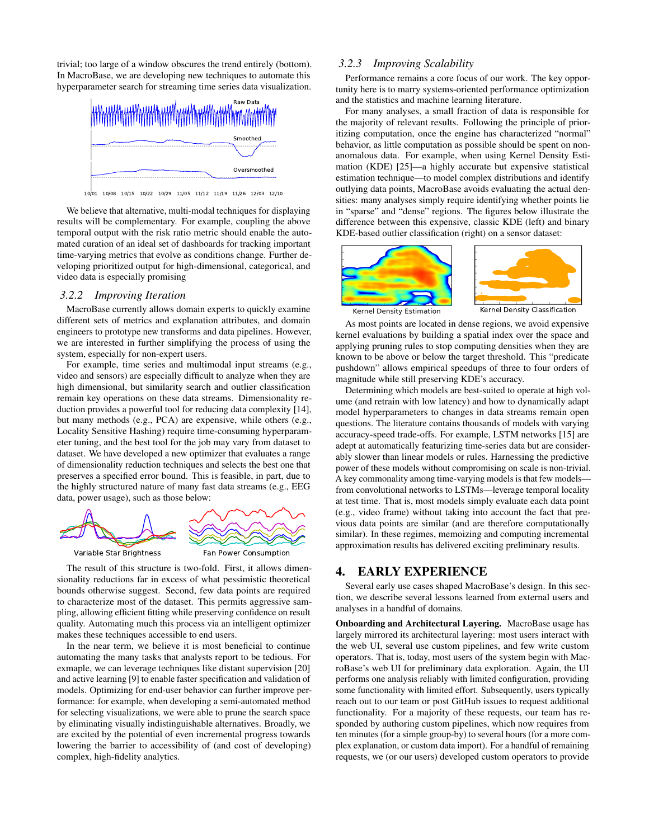trivial; too large of a window obscures the trend entirely (bottom). In MacroBase, we are developing new techniques to automate this hyperparameter search for streaming time series data visualization.



10/01 10/08 10/15 10/22 10/29 11/05 11/12 11/19 11/26 12/03 12/10

We believe that alternative, multi-modal techniques for displaying results will be complementary. For example, coupling the above temporal output with the risk ratio metric should enable the automated curation of an ideal set of dashboards for tracking important time-varying metrics that evolve as conditions change. Further developing prioritized output for high-dimensional, categorical, and video data is especially promising

#### *3.2.2 Improving Iteration*

MacroBase currently allows domain experts to quickly examine different sets of metrics and explanation attributes, and domain engineers to prototype new transforms and data pipelines. However, we are interested in further simplifying the process of using the system, especially for non-expert users.

For example, time series and multimodal input streams (e.g., video and sensors) are especially difficult to analyze when they are high dimensional, but similarity search and outlier classification remain key operations on these data streams. Dimensionality reduction provides a powerful tool for reducing data complexity [\[14\]](#page-7-10), but many methods (e.g., PCA) are expensive, while others (e.g., Locality Sensitive Hashing) require time-consuming hyperparameter tuning, and the best tool for the job may vary from dataset to dataset. We have developed a new optimizer that evaluates a range of dimensionality reduction techniques and selects the best one that preserves a specified error bound. This is feasible, in part, due to the highly structured nature of many fast data streams (e.g., EEG data, power usage), such as those below:







The result of this structure is two-fold. First, it allows dimensionality reductions far in excess of what pessimistic theoretical bounds otherwise suggest. Second, few data points are required to characterize most of the dataset. This permits aggressive sampling, allowing efficient fitting while preserving confidence on result quality. Automating much this process via an intelligent optimizer makes these techniques accessible to end users.

In the near term, we believe it is most beneficial to continue automating the many tasks that analysts report to be tedious. For exmaple, we can leverage techniques like distant supervision [\[20\]](#page-7-11) and active learning [\[9\]](#page-7-12) to enable faster specification and validation of models. Optimizing for end-user behavior can further improve performance: for example, when developing a semi-automated method for selecting visualizations, we were able to prune the search space by eliminating visually indistinguishable alternatives. Broadly, we are excited by the potential of even incremental progress towards lowering the barrier to accessibility of (and cost of developing) complex, high-fidelity analytics.

# *3.2.3 Improving Scalability*

Performance remains a core focus of our work. The key opportunity here is to marry systems-oriented performance optimization and the statistics and machine learning literature.

For many analyses, a small fraction of data is responsible for the majority of relevant results. Following the principle of prioritizing computation, once the engine has characterized "normal" behavior, as little computation as possible should be spent on nonanomalous data. For example, when using Kernel Density Estimation (KDE) [\[25\]](#page-7-13)—a highly accurate but expensive statistical estimation technique—to model complex distributions and identify outlying data points, MacroBase avoids evaluating the actual densities: many analyses simply require identifying whether points lie in "sparse" and "dense" regions. The figures below illustrate the difference between this expensive, classic KDE (left) and binary KDE-based outlier classification (right) on a sensor dataset:





Kernel Density Classification

As most points are located in dense regions, we avoid expensive kernel evaluations by building a spatial index over the space and applying pruning rules to stop computing densities when they are known to be above or below the target threshold. This "predicate pushdown" allows empirical speedups of three to four orders of magnitude while still preserving KDE's accuracy.

Determining which models are best-suited to operate at high volume (and retrain with low latency) and how to dynamically adapt model hyperparameters to changes in data streams remain open questions. The literature contains thousands of models with varying accuracy-speed trade-offs. For example, LSTM networks [\[15\]](#page-7-14) are adept at automatically featurizing time-series data but are considerably slower than linear models or rules. Harnessing the predictive power of these models without compromising on scale is non-trivial. A key commonality among time-varying models is that few models from convolutional networks to LSTMs—leverage temporal locality at test time. That is, most models simply evaluate each data point (e.g., video frame) without taking into account the fact that previous data points are similar (and are therefore computationally similar). In these regimes, memoizing and computing incremental approximation results has delivered exciting preliminary results.

# <span id="page-5-0"></span>4. EARLY EXPERIENCE

Several early use cases shaped MacroBase's design. In this section, we describe several lessons learned from external users and analyses in a handful of domains.

Onboarding and Architectural Layering. MacroBase usage has largely mirrored its architectural layering: most users interact with the web UI, several use custom pipelines, and few write custom operators. That is, today, most users of the system begin with MacroBase's web UI for preliminary data exploration. Again, the UI performs one analysis reliably with limited configuration, providing some functionality with limited effort. Subsequently, users typically reach out to our team or post GitHub issues to request additional functionality. For a majority of these requests, our team has responded by authoring custom pipelines, which now requires from ten minutes (for a simple group-by) to several hours (for a more complex explanation, or custom data import). For a handful of remaining requests, we (or our users) developed custom operators to provide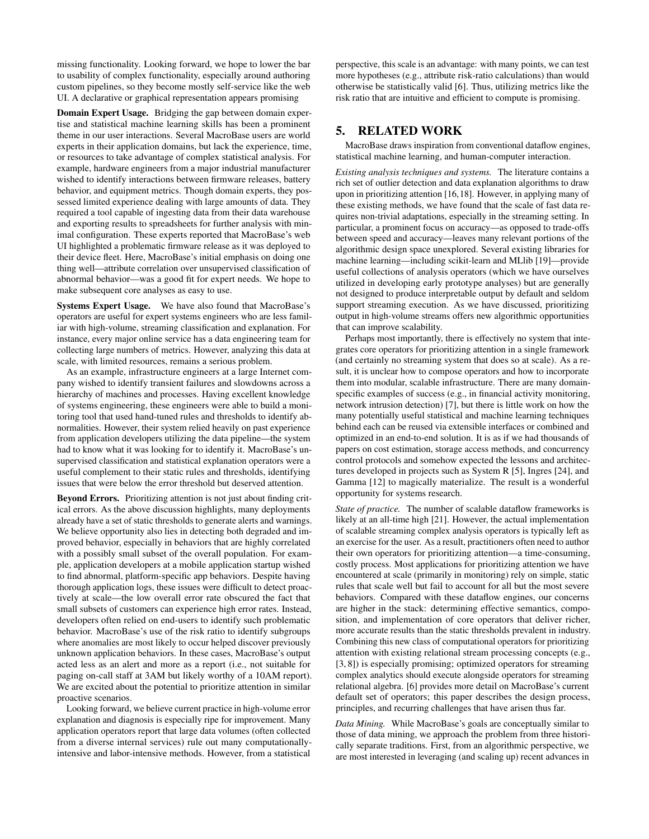missing functionality. Looking forward, we hope to lower the bar to usability of complex functionality, especially around authoring custom pipelines, so they become mostly self-service like the web UI. A declarative or graphical representation appears promising

Domain Expert Usage. Bridging the gap between domain expertise and statistical machine learning skills has been a prominent theme in our user interactions. Several MacroBase users are world experts in their application domains, but lack the experience, time, or resources to take advantage of complex statistical analysis. For example, hardware engineers from a major industrial manufacturer wished to identify interactions between firmware releases, battery behavior, and equipment metrics. Though domain experts, they possessed limited experience dealing with large amounts of data. They required a tool capable of ingesting data from their data warehouse and exporting results to spreadsheets for further analysis with minimal configuration. These experts reported that MacroBase's web UI highlighted a problematic firmware release as it was deployed to their device fleet. Here, MacroBase's initial emphasis on doing one thing well—attribute correlation over unsupervised classification of abnormal behavior—was a good fit for expert needs. We hope to make subsequent core analyses as easy to use.

Systems Expert Usage. We have also found that MacroBase's operators are useful for expert systems engineers who are less familiar with high-volume, streaming classification and explanation. For instance, every major online service has a data engineering team for collecting large numbers of metrics. However, analyzing this data at scale, with limited resources, remains a serious problem.

As an example, infrastructure engineers at a large Internet company wished to identify transient failures and slowdowns across a hierarchy of machines and processes. Having excellent knowledge of systems engineering, these engineers were able to build a monitoring tool that used hand-tuned rules and thresholds to identify abnormalities. However, their system relied heavily on past experience from application developers utilizing the data pipeline—the system had to know what it was looking for to identify it. MacroBase's unsupervised classification and statistical explanation operators were a useful complement to their static rules and thresholds, identifying issues that were below the error threshold but deserved attention.

Beyond Errors. Prioritizing attention is not just about finding critical errors. As the above discussion highlights, many deployments already have a set of static thresholds to generate alerts and warnings. We believe opportunity also lies in detecting both degraded and improved behavior, especially in behaviors that are highly correlated with a possibly small subset of the overall population. For example, application developers at a mobile application startup wished to find abnormal, platform-specific app behaviors. Despite having thorough application logs, these issues were difficult to detect proactively at scale—the low overall error rate obscured the fact that small subsets of customers can experience high error rates. Instead, developers often relied on end-users to identify such problematic behavior. MacroBase's use of the risk ratio to identify subgroups where anomalies are most likely to occur helped discover previously unknown application behaviors. In these cases, MacroBase's output acted less as an alert and more as a report (i.e., not suitable for paging on-call staff at 3AM but likely worthy of a 10AM report). We are excited about the potential to prioritize attention in similar proactive scenarios.

Looking forward, we believe current practice in high-volume error explanation and diagnosis is especially ripe for improvement. Many application operators report that large data volumes (often collected from a diverse internal services) rule out many computationallyintensive and labor-intensive methods. However, from a statistical

perspective, this scale is an advantage: with many points, we can test more hypotheses (e.g., attribute risk-ratio calculations) than would otherwise be statistically valid [\[6\]](#page-7-5). Thus, utilizing metrics like the risk ratio that are intuitive and efficient to compute is promising.

## 5. RELATED WORK

MacroBase draws inspiration from conventional dataflow engines, statistical machine learning, and human-computer interaction.

*Existing analysis techniques and systems.* The literature contains a rich set of outlier detection and data explanation algorithms to draw upon in prioritizing attention [\[16,](#page-7-15)[18\]](#page-7-16). However, in applying many of these existing methods, we have found that the scale of fast data requires non-trivial adaptations, especially in the streaming setting. In particular, a prominent focus on accuracy—as opposed to trade-offs between speed and accuracy—leaves many relevant portions of the algorithmic design space unexplored. Several existing libraries for machine learning—including scikit-learn and MLlib [\[19\]](#page-7-17)—provide useful collections of analysis operators (which we have ourselves utilized in developing early prototype analyses) but are generally not designed to produce interpretable output by default and seldom support streaming execution. As we have discussed, prioritizing output in high-volume streams offers new algorithmic opportunities that can improve scalability.

Perhaps most importantly, there is effectively no system that integrates core operators for prioritizing attention in a single framework (and certainly no streaming system that does so at scale). As a result, it is unclear how to compose operators and how to incorporate them into modular, scalable infrastructure. There are many domainspecific examples of success (e.g., in financial activity monitoring, network intrusion detection) [\[7\]](#page-7-18), but there is little work on how the many potentially useful statistical and machine learning techniques behind each can be reused via extensible interfaces or combined and optimized in an end-to-end solution. It is as if we had thousands of papers on cost estimation, storage access methods, and concurrency control protocols and somehow expected the lessons and architectures developed in projects such as System R [\[5\]](#page-7-19), Ingres [\[24\]](#page-7-20), and Gamma [\[12\]](#page-7-21) to magically materialize. The result is a wonderful opportunity for systems research.

*State of practice.* The number of scalable dataflow frameworks is likely at an all-time high [\[21\]](#page-7-22). However, the actual implementation of scalable streaming complex analysis operators is typically left as an exercise for the user. As a result, practitioners often need to author their own operators for prioritizing attention—a time-consuming, costly process. Most applications for prioritizing attention we have encountered at scale (primarily in monitoring) rely on simple, static rules that scale well but fail to account for all but the most severe behaviors. Compared with these dataflow engines, our concerns are higher in the stack: determining effective semantics, composition, and implementation of core operators that deliver richer, more accurate results than the static thresholds prevalent in industry. Combining this new class of computational operators for prioritizing attention with existing relational stream processing concepts (e.g., [\[3,](#page-7-23) [8\]](#page-7-24)) is especially promising; optimized operators for streaming complex analytics should execute alongside operators for streaming relational algebra. [\[6\]](#page-7-5) provides more detail on MacroBase's current default set of operators; this paper describes the design process, principles, and recurring challenges that have arisen thus far.

*Data Mining.* While MacroBase's goals are conceptually similar to those of data mining, we approach the problem from three historically separate traditions. First, from an algorithmic perspective, we are most interested in leveraging (and scaling up) recent advances in